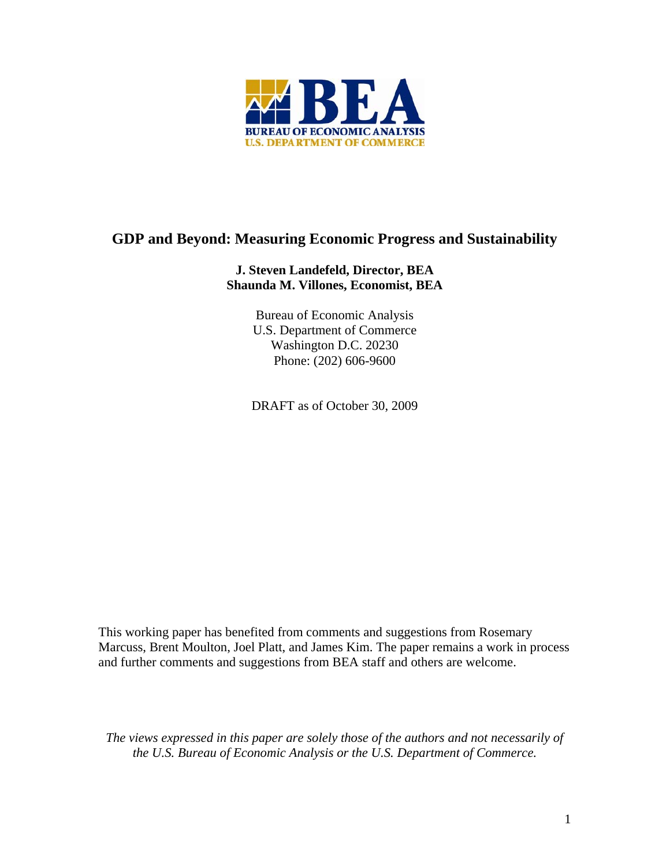

# **GDP and Beyond: Measuring Economic Progress and Sustainability**

## **J. Steven Landefeld, Director, BEA Shaunda M. Villones, Economist, BEA**

Bureau of Economic Analysis U.S. Department of Commerce Washington D.C. 20230 Phone: (202) 606-9600

DRAFT as of October 30, 2009

This working paper has benefited from comments and suggestions from Rosemary Marcuss, Brent Moulton, Joel Platt, and James Kim. The paper remains a work in process and further comments and suggestions from BEA staff and others are welcome.

*The views expressed in this paper are solely those of the authors and not necessarily of the U.S. Bureau of Economic Analysis or the U.S. Department of Commerce.*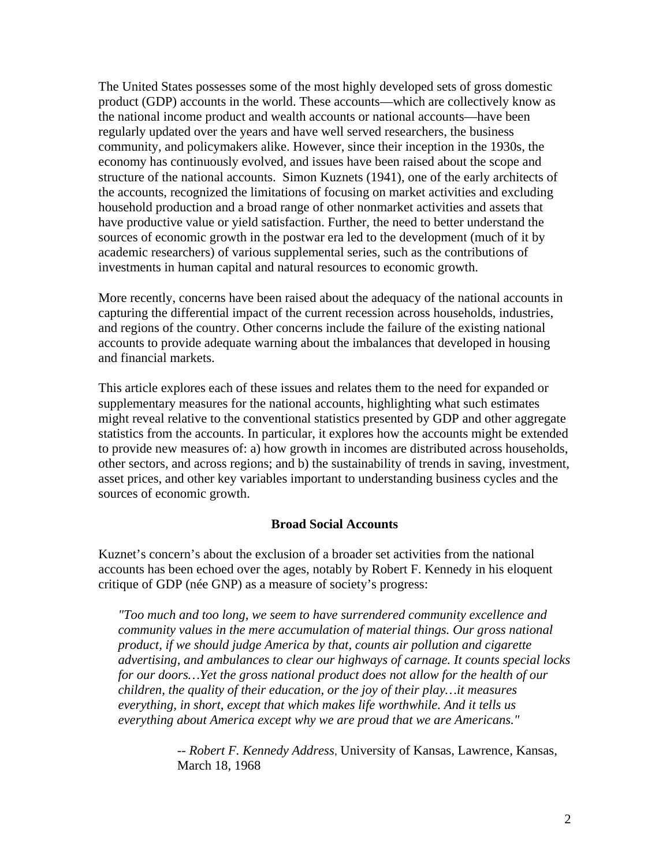The United States possesses some of the most highly developed sets of gross domestic product (GDP) accounts in the world. These accounts—which are collectively know as the national income product and wealth accounts or national accounts—have been regularly updated over the years and have well served researchers, the business community, and policymakers alike. However, since their inception in the 1930s, the economy has continuously evolved, and issues have been raised about the scope and structure of the national accounts. Simon Kuznets (1941), one of the early architects of the accounts, recognized the limitations of focusing on market activities and excluding household production and a broad range of other nonmarket activities and assets that have productive value or yield satisfaction. Further, the need to better understand the sources of economic growth in the postwar era led to the development (much of it by academic researchers) of various supplemental series, such as the contributions of investments in human capital and natural resources to economic growth.

More recently, concerns have been raised about the adequacy of the national accounts in capturing the differential impact of the current recession across households, industries, and regions of the country. Other concerns include the failure of the existing national accounts to provide adequate warning about the imbalances that developed in housing and financial markets.

This article explores each of these issues and relates them to the need for expanded or supplementary measures for the national accounts, highlighting what such estimates might reveal relative to the conventional statistics presented by GDP and other aggregate statistics from the accounts. In particular, it explores how the accounts might be extended to provide new measures of: a) how growth in incomes are distributed across households, other sectors, and across regions; and b) the sustainability of trends in saving, investment, asset prices, and other key variables important to understanding business cycles and the sources of economic growth.

#### **Broad Social Accounts**

Kuznet's concern's about the exclusion of a broader set activities from the national accounts has been echoed over the ages, notably by Robert F. Kennedy in his eloquent critique of GDP (née GNP) as a measure of society's progress:

*"Too much and too long, we seem to have surrendered community excellence and community values in the mere accumulation of material things. Our gross national product, if we should judge America by that, counts air pollution and cigarette advertising, and ambulances to clear our highways of carnage. It counts special locks for our doors…Yet the gross national product does not allow for the health of our children, the quality of their education, or the joy of their play…it measures everything, in short, except that which makes life worthwhile. And it tells us everything about America except why we are proud that we are Americans."*

> *-- Robert F. Kennedy Address*, University of Kansas, Lawrence, Kansas, March 18, 1968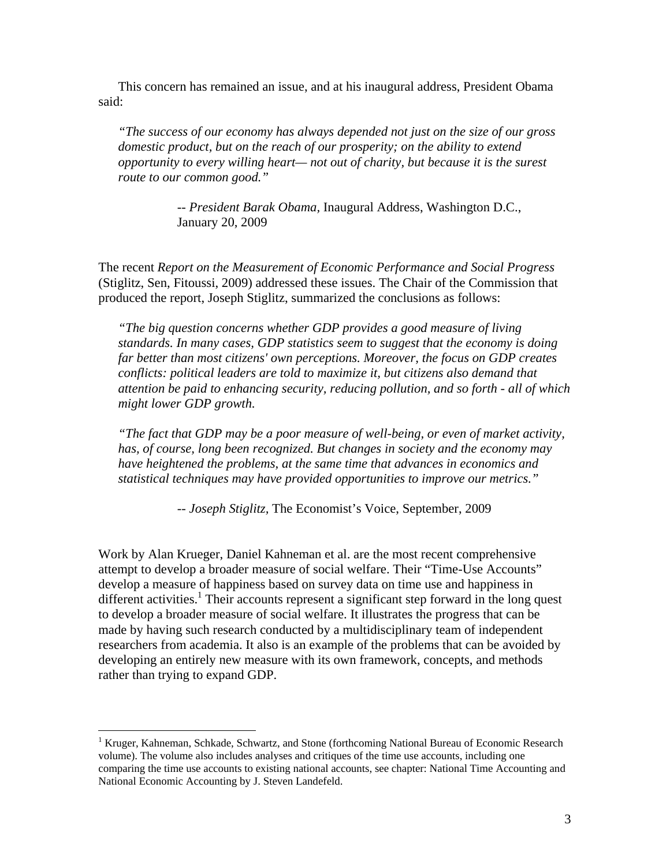This concern has remained an issue, and at his inaugural address, President Obama said:

 *"The success of our economy has always depended not just on the size of our gross domestic product, but on the reach of our prosperity; on the ability to extend opportunity to every willing heart— not out of charity, but because it is the surest route to our common good."* 

> *-- President Barak Obama,* Inaugural Address, Washington D.C., January 20, 2009

The recent *Report on the Measurement of Economic Performance and Social Progress*  (Stiglitz, Sen, Fitoussi, 2009) addressed these issues. The Chair of the Commission that produced the report, Joseph Stiglitz, summarized the conclusions as follows:

*"The big question concerns whether GDP provides a good measure of living standards. In many cases, GDP statistics seem to suggest that the economy is doing far better than most citizens' own perceptions. Moreover, the focus on GDP creates conflicts: political leaders are told to maximize it, but citizens also demand that attention be paid to enhancing security, reducing pollution, and so forth - all of which might lower GDP growth.* 

*"The fact that GDP may be a poor measure of well-being, or even of market activity, has, of course, long been recognized. But changes in society and the economy may have heightened the problems, at the same time that advances in economics and statistical techniques may have provided opportunities to improve our metrics."* 

 *-- Joseph Stiglitz,* The Economist's Voice, September, 2009

Work by Alan Krueger, Daniel Kahneman et al. are the most recent comprehensive attempt to develop a broader measure of social welfare. Their "Time-Use Accounts" develop a measure of happiness based on survey data on time use and happiness in different activities.<sup>1</sup> Their accounts represent a significant step forward in the long quest to develop a broader measure of social welfare. It illustrates the progress that can be made by having such research conducted by a multidisciplinary team of independent researchers from academia. It also is an example of the problems that can be avoided by developing an entirely new measure with its own framework, concepts, and methods rather than trying to expand GDP.

 $\overline{a}$ 

<sup>&</sup>lt;sup>1</sup> Kruger, Kahneman, Schkade, Schwartz, and Stone (forthcoming National Bureau of Economic Research volume). The volume also includes analyses and critiques of the time use accounts, including one comparing the time use accounts to existing national accounts, see chapter: National Time Accounting and National Economic Accounting by J. Steven Landefeld.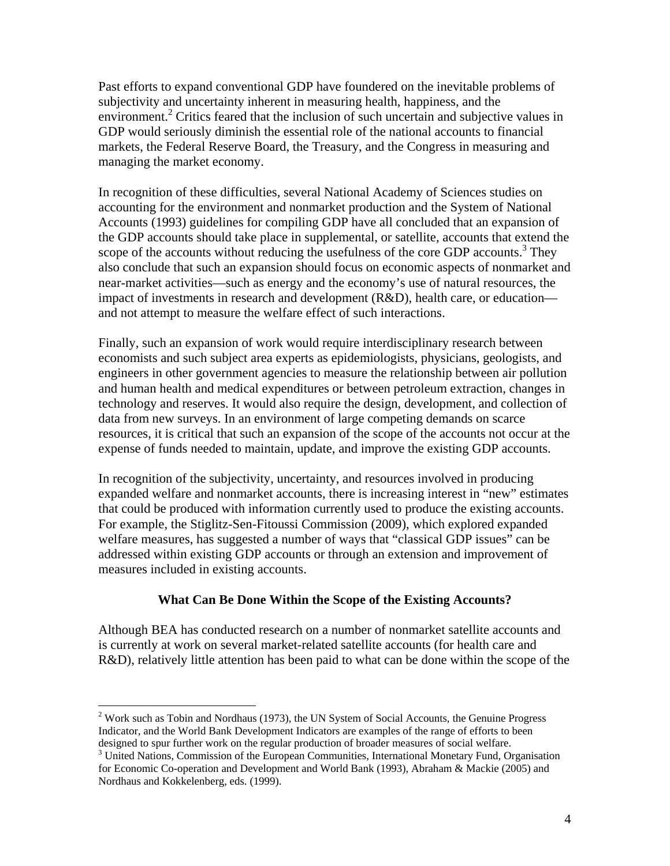Past efforts to expand conventional GDP have foundered on the inevitable problems of subjectivity and uncertainty inherent in measuring health, happiness, and the environment.<sup>2</sup> Critics feared that the inclusion of such uncertain and subjective values in GDP would seriously diminish the essential role of the national accounts to financial markets, the Federal Reserve Board, the Treasury, and the Congress in measuring and managing the market economy.

In recognition of these difficulties, several National Academy of Sciences studies on accounting for the environment and nonmarket production and the System of National Accounts (1993) guidelines for compiling GDP have all concluded that an expansion of the GDP accounts should take place in supplemental, or satellite, accounts that extend the scope of the accounts without reducing the usefulness of the core GDP accounts.<sup>3</sup> They also conclude that such an expansion should focus on economic aspects of nonmarket and near-market activities—such as energy and the economy's use of natural resources, the impact of investments in research and development  $(R&D)$ , health care, or education and not attempt to measure the welfare effect of such interactions.

Finally, such an expansion of work would require interdisciplinary research between economists and such subject area experts as epidemiologists, physicians, geologists, and engineers in other government agencies to measure the relationship between air pollution and human health and medical expenditures or between petroleum extraction, changes in technology and reserves. It would also require the design, development, and collection of data from new surveys. In an environment of large competing demands on scarce resources, it is critical that such an expansion of the scope of the accounts not occur at the expense of funds needed to maintain, update, and improve the existing GDP accounts.

In recognition of the subjectivity, uncertainty, and resources involved in producing expanded welfare and nonmarket accounts, there is increasing interest in "new" estimates that could be produced with information currently used to produce the existing accounts. For example, the Stiglitz-Sen-Fitoussi Commission (2009), which explored expanded welfare measures, has suggested a number of ways that "classical GDP issues" can be addressed within existing GDP accounts or through an extension and improvement of measures included in existing accounts.

#### **What Can Be Done Within the Scope of the Existing Accounts?**

Although BEA has conducted research on a number of nonmarket satellite accounts and is currently at work on several market-related satellite accounts (for health care and R&D), relatively little attention has been paid to what can be done within the scope of the

1

 $2$  Work such as Tobin and Nordhaus (1973), the UN System of Social Accounts, the Genuine Progress Indicator, and the World Bank Development Indicators are examples of the range of efforts to been designed to spur further work on the regular production of broader measures of social welfare.

<sup>&</sup>lt;sup>3</sup> United Nations, Commission of the European Communities, International Monetary Fund, Organisation for Economic Co-operation and Development and World Bank (1993), Abraham & Mackie (2005) and Nordhaus and Kokkelenberg, eds. (1999).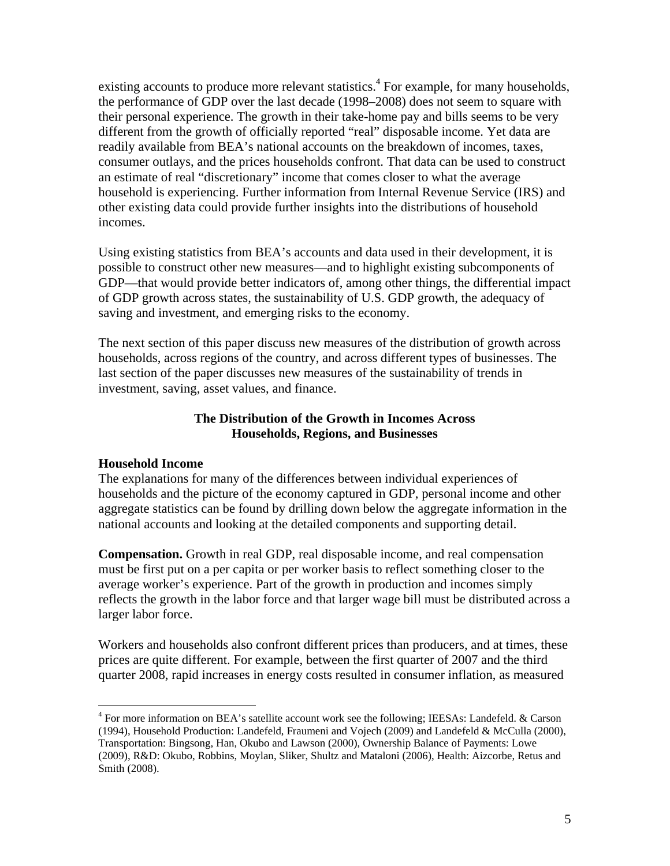existing accounts to produce more relevant statistics.<sup>4</sup> For example, for many households, the performance of GDP over the last decade (1998–2008) does not seem to square with their personal experience. The growth in their take-home pay and bills seems to be very different from the growth of officially reported "real" disposable income. Yet data are readily available from BEA's national accounts on the breakdown of incomes, taxes, consumer outlays, and the prices households confront. That data can be used to construct an estimate of real "discretionary" income that comes closer to what the average household is experiencing. Further information from Internal Revenue Service (IRS) and other existing data could provide further insights into the distributions of household incomes.

Using existing statistics from BEA's accounts and data used in their development, it is possible to construct other new measures—and to highlight existing subcomponents of GDP—that would provide better indicators of, among other things, the differential impact of GDP growth across states, the sustainability of U.S. GDP growth, the adequacy of saving and investment, and emerging risks to the economy.

The next section of this paper discuss new measures of the distribution of growth across households, across regions of the country, and across different types of businesses. The last section of the paper discusses new measures of the sustainability of trends in investment, saving, asset values, and finance.

### **The Distribution of the Growth in Incomes Across Households, Regions, and Businesses**

#### **Household Income**

 $\overline{a}$ 

The explanations for many of the differences between individual experiences of households and the picture of the economy captured in GDP, personal income and other aggregate statistics can be found by drilling down below the aggregate information in the national accounts and looking at the detailed components and supporting detail.

**Compensation.** Growth in real GDP, real disposable income, and real compensation must be first put on a per capita or per worker basis to reflect something closer to the average worker's experience. Part of the growth in production and incomes simply reflects the growth in the labor force and that larger wage bill must be distributed across a larger labor force.

Workers and households also confront different prices than producers, and at times, these prices are quite different. For example, between the first quarter of 2007 and the third quarter 2008, rapid increases in energy costs resulted in consumer inflation, as measured

<sup>&</sup>lt;sup>4</sup> For more information on BEA's satellite account work see the following; IEESAs: Landefeld. & Carson (1994), Household Production: Landefeld, Fraumeni and Vojech (2009) and Landefeld & McCulla (2000), Transportation: Bingsong, Han, Okubo and Lawson (2000), Ownership Balance of Payments: Lowe (2009), R&D: Okubo, Robbins, Moylan, Sliker, Shultz and Mataloni (2006), Health: Aizcorbe, Retus and Smith (2008).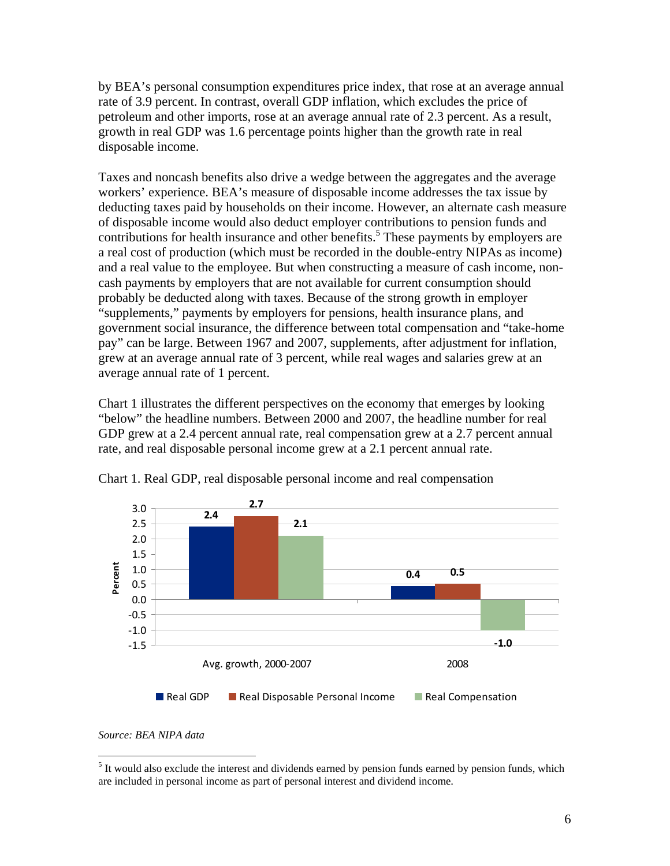by BEA's personal consumption expenditures price index, that rose at an average annual rate of 3.9 percent. In contrast, overall GDP inflation, which excludes the price of petroleum and other imports, rose at an average annual rate of 2.3 percent. As a result, growth in real GDP was 1.6 percentage points higher than the growth rate in real disposable income.

Taxes and noncash benefits also drive a wedge between the aggregates and the average workers' experience. BEA's measure of disposable income addresses the tax issue by deducting taxes paid by households on their income. However, an alternate cash measure of disposable income would also deduct employer contributions to pension funds and contributions for health insurance and other benefits.<sup>5</sup> These payments by employers are a real cost of production (which must be recorded in the double-entry NIPAs as income) and a real value to the employee. But when constructing a measure of cash income, noncash payments by employers that are not available for current consumption should probably be deducted along with taxes. Because of the strong growth in employer "supplements," payments by employers for pensions, health insurance plans, and government social insurance, the difference between total compensation and "take-home pay" can be large. Between 1967 and 2007, supplements, after adjustment for inflation, grew at an average annual rate of 3 percent, while real wages and salaries grew at an average annual rate of 1 percent.

Chart 1 illustrates the different perspectives on the economy that emerges by looking "below" the headline numbers. Between 2000 and 2007, the headline number for real GDP grew at a 2.4 percent annual rate, real compensation grew at a 2.7 percent annual rate, and real disposable personal income grew at a 2.1 percent annual rate.



Chart 1. Real GDP, real disposable personal income and real compensation

*Source: BEA NIPA data* 

 $\overline{a}$ 

<sup>&</sup>lt;sup>5</sup> It would also exclude the interest and dividends earned by pension funds earned by pension funds, which are included in personal income as part of personal interest and dividend income.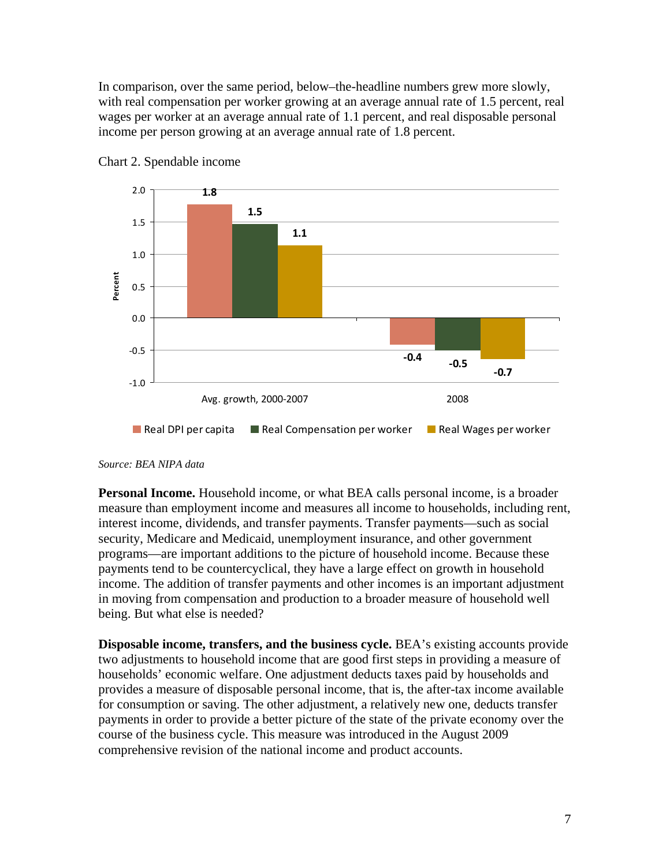In comparison, over the same period, below–the-headline numbers grew more slowly, with real compensation per worker growing at an average annual rate of 1.5 percent, real wages per worker at an average annual rate of 1.1 percent, and real disposable personal income per person growing at an average annual rate of 1.8 percent.





#### *Source: BEA NIPA data*

**Personal Income.** Household income, or what BEA calls personal income, is a broader measure than employment income and measures all income to households, including rent, interest income, dividends, and transfer payments. Transfer payments—such as social security, Medicare and Medicaid, unemployment insurance, and other government programs—are important additions to the picture of household income. Because these payments tend to be countercyclical, they have a large effect on growth in household income. The addition of transfer payments and other incomes is an important adjustment in moving from compensation and production to a broader measure of household well being. But what else is needed?

**Disposable income, transfers, and the business cycle.** BEA's existing accounts provide two adjustments to household income that are good first steps in providing a measure of households' economic welfare. One adjustment deducts taxes paid by households and provides a measure of disposable personal income, that is, the after-tax income available for consumption or saving. The other adjustment, a relatively new one, deducts transfer payments in order to provide a better picture of the state of the private economy over the course of the business cycle. This measure was introduced in the August 2009 comprehensive revision of the national income and product accounts.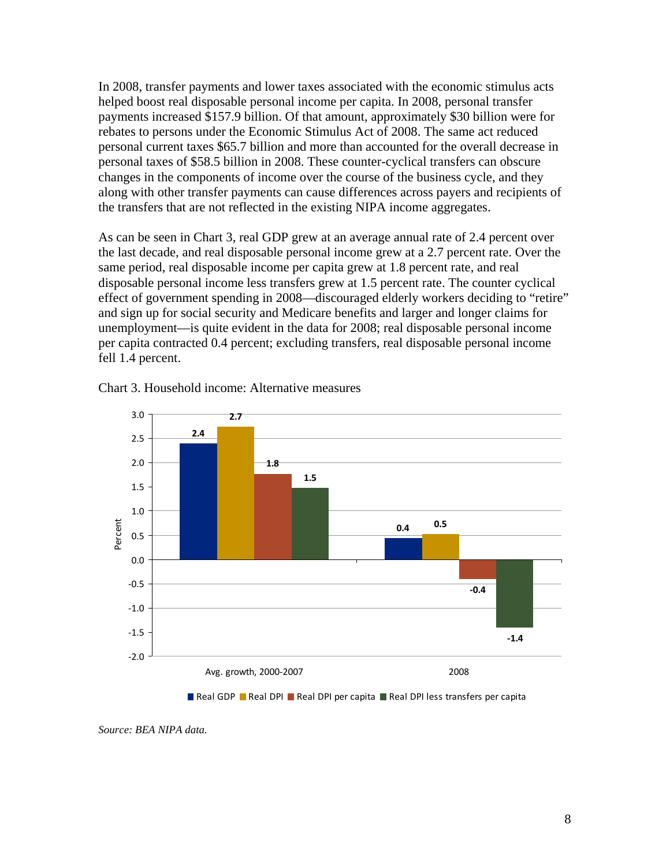In 2008, transfer payments and lower taxes associated with the economic stimulus acts helped boost real disposable personal income per capita. In 2008, personal transfer payments increased \$157.9 billion. Of that amount, approximately \$30 billion were for rebates to persons under the Economic Stimulus Act of 2008. The same act reduced personal current taxes \$65.7 billion and more than accounted for the overall decrease in personal taxes of \$58.5 billion in 2008. These counter-cyclical transfers can obscure changes in the components of income over the course of the business cycle, and they along with other transfer payments can cause differences across payers and recipients of the transfers that are not reflected in the existing NIPA income aggregates.

As can be seen in Chart 3, real GDP grew at an average annual rate of 2.4 percent over the last decade, and real disposable personal income grew at a 2.7 percent rate. Over the same period, real disposable income per capita grew at 1.8 percent rate, and real disposable personal income less transfers grew at 1.5 percent rate. The counter cyclical effect of government spending in 2008—discouraged elderly workers deciding to "retire" and sign up for social security and Medicare benefits and larger and longer claims for unemployment—is quite evident in the data for 2008; real disposable personal income per capita contracted 0.4 percent; excluding transfers, real disposable personal income fell 1.4 percent.



Chart 3. Household income: Alternative measures



*Source: BEA NIPA data.*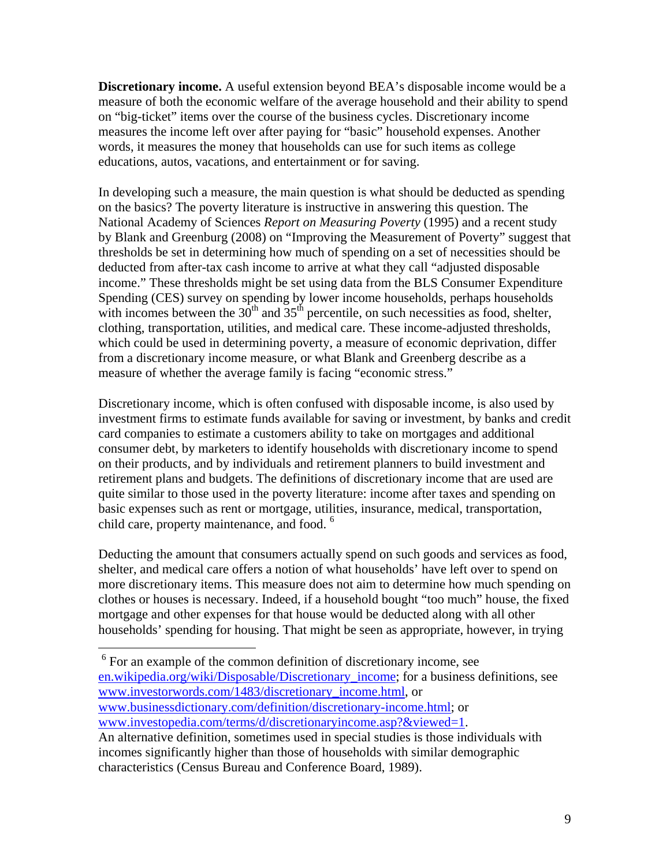**Discretionary income.** A useful extension beyond BEA's disposable income would be a measure of both the economic welfare of the average household and their ability to spend on "big-ticket" items over the course of the business cycles. Discretionary income measures the income left over after paying for "basic" household expenses. Another words, it measures the money that households can use for such items as college educations, autos, vacations, and entertainment or for saving.

In developing such a measure, the main question is what should be deducted as spending on the basics? The poverty literature is instructive in answering this question. The National Academy of Sciences *Report on Measuring Poverty* (1995) and a recent study by Blank and Greenburg (2008) on "Improving the Measurement of Poverty" suggest that thresholds be set in determining how much of spending on a set of necessities should be deducted from after-tax cash income to arrive at what they call "adjusted disposable income." These thresholds might be set using data from the BLS Consumer Expenditure Spending (CES) survey on spending by lower income households, perhaps households with incomes between the  $30<sup>th</sup>$  and  $35<sup>th</sup>$  percentile, on such necessities as food, shelter, clothing, transportation, utilities, and medical care. These income-adjusted thresholds, which could be used in determining poverty, a measure of economic deprivation, differ from a discretionary income measure, or what Blank and Greenberg describe as a measure of whether the average family is facing "economic stress."

Discretionary income, which is often confused with disposable income, is also used by investment firms to estimate funds available for saving or investment, by banks and credit card companies to estimate a customers ability to take on mortgages and additional consumer debt, by marketers to identify households with discretionary income to spend on their products, and by individuals and retirement planners to build investment and retirement plans and budgets. The definitions of discretionary income that are used are quite similar to those used in the poverty literature: income after taxes and spending on basic expenses such as rent or mortgage, utilities, insurance, medical, transportation, child care, property maintenance, and food.<sup>6</sup>

Deducting the amount that consumers actually spend on such goods and services as food, shelter, and medical care offers a notion of what households' have left over to spend on more discretionary items. This measure does not aim to determine how much spending on clothes or houses is necessary. Indeed, if a household bought "too much" house, the fixed mortgage and other expenses for that house would be deducted along with all other households' spending for housing. That might be seen as appropriate, however, in trying

 $\overline{a}$ 

<sup>&</sup>lt;sup>6</sup> For an example of the common definition of discretionary income, see en.wikipedia.org/wiki/Disposable/Discretionary\_income; for a business definitions, see www.investorwords.com/1483/discretionary\_income.html, or www.businessdictionary.com/definition/discretionary-income.html; or www.investopedia.com/terms/d/discretionaryincome.asp?&viewed=1.

An alternative definition, sometimes used in special studies is those individuals with incomes significantly higher than those of households with similar demographic characteristics (Census Bureau and Conference Board, 1989).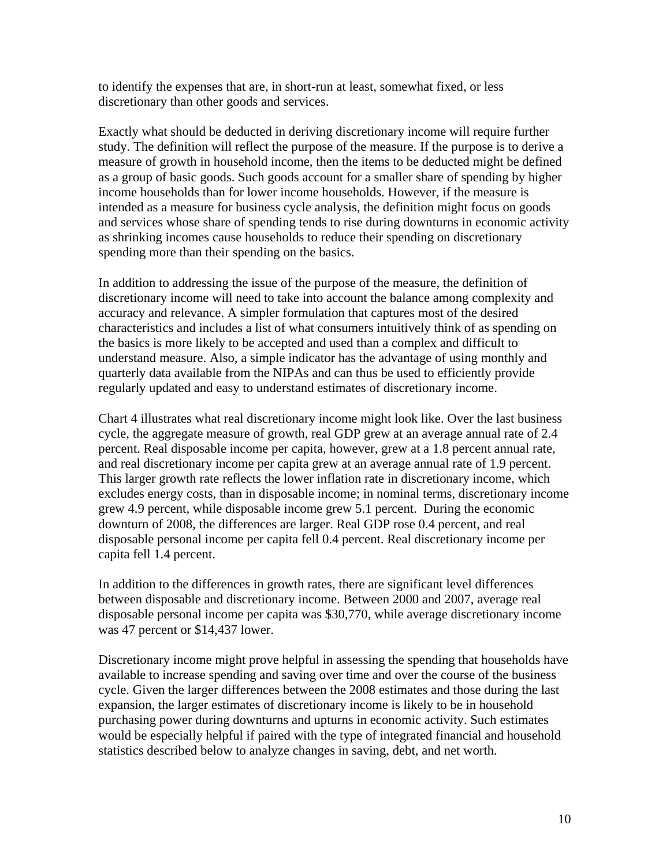to identify the expenses that are, in short-run at least, somewhat fixed, or less discretionary than other goods and services.

Exactly what should be deducted in deriving discretionary income will require further study. The definition will reflect the purpose of the measure. If the purpose is to derive a measure of growth in household income, then the items to be deducted might be defined as a group of basic goods. Such goods account for a smaller share of spending by higher income households than for lower income households. However, if the measure is intended as a measure for business cycle analysis, the definition might focus on goods and services whose share of spending tends to rise during downturns in economic activity as shrinking incomes cause households to reduce their spending on discretionary spending more than their spending on the basics.

In addition to addressing the issue of the purpose of the measure, the definition of discretionary income will need to take into account the balance among complexity and accuracy and relevance. A simpler formulation that captures most of the desired characteristics and includes a list of what consumers intuitively think of as spending on the basics is more likely to be accepted and used than a complex and difficult to understand measure. Also, a simple indicator has the advantage of using monthly and quarterly data available from the NIPAs and can thus be used to efficiently provide regularly updated and easy to understand estimates of discretionary income.

Chart 4 illustrates what real discretionary income might look like. Over the last business cycle, the aggregate measure of growth, real GDP grew at an average annual rate of 2.4 percent. Real disposable income per capita, however, grew at a 1.8 percent annual rate, and real discretionary income per capita grew at an average annual rate of 1.9 percent. This larger growth rate reflects the lower inflation rate in discretionary income, which excludes energy costs, than in disposable income; in nominal terms, discretionary income grew 4.9 percent, while disposable income grew 5.1 percent. During the economic downturn of 2008, the differences are larger. Real GDP rose 0.4 percent, and real disposable personal income per capita fell 0.4 percent. Real discretionary income per capita fell 1.4 percent.

In addition to the differences in growth rates, there are significant level differences between disposable and discretionary income. Between 2000 and 2007, average real disposable personal income per capita was \$30,770, while average discretionary income was 47 percent or \$14,437 lower.

Discretionary income might prove helpful in assessing the spending that households have available to increase spending and saving over time and over the course of the business cycle. Given the larger differences between the 2008 estimates and those during the last expansion, the larger estimates of discretionary income is likely to be in household purchasing power during downturns and upturns in economic activity. Such estimates would be especially helpful if paired with the type of integrated financial and household statistics described below to analyze changes in saving, debt, and net worth.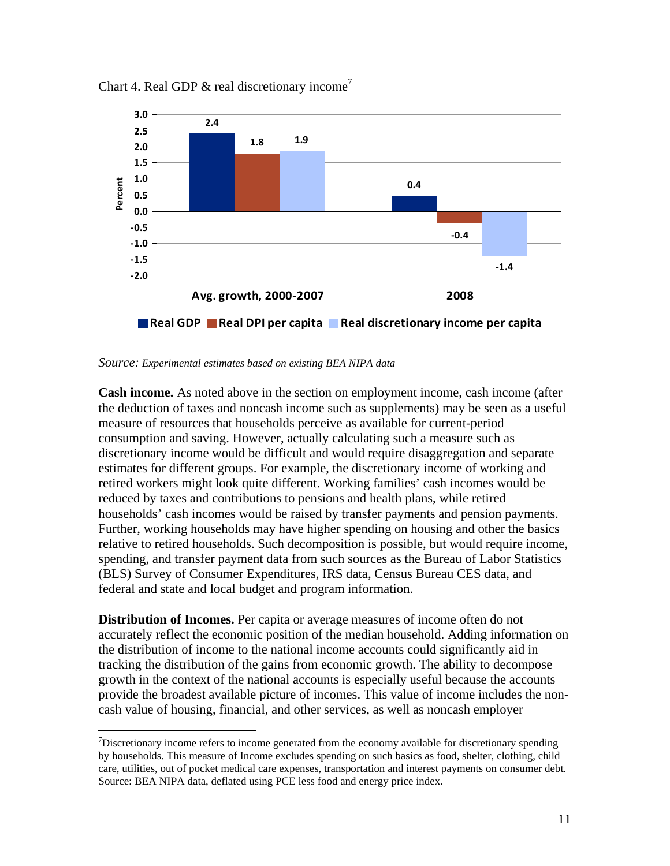



*Source: Experimental estimates based on existing BEA NIPA data*

 $\overline{a}$ 

**Cash income.** As noted above in the section on employment income, cash income (after the deduction of taxes and noncash income such as supplements) may be seen as a useful measure of resources that households perceive as available for current-period consumption and saving. However, actually calculating such a measure such as discretionary income would be difficult and would require disaggregation and separate estimates for different groups. For example, the discretionary income of working and retired workers might look quite different. Working families' cash incomes would be reduced by taxes and contributions to pensions and health plans, while retired households' cash incomes would be raised by transfer payments and pension payments. Further, working households may have higher spending on housing and other the basics relative to retired households. Such decomposition is possible, but would require income, spending, and transfer payment data from such sources as the Bureau of Labor Statistics (BLS) Survey of Consumer Expenditures, IRS data, Census Bureau CES data, and federal and state and local budget and program information.

**Distribution of Incomes.** Per capita or average measures of income often do not accurately reflect the economic position of the median household. Adding information on the distribution of income to the national income accounts could significantly aid in tracking the distribution of the gains from economic growth. The ability to decompose growth in the context of the national accounts is especially useful because the accounts provide the broadest available picture of incomes. This value of income includes the noncash value of housing, financial, and other services, as well as noncash employer

 $\sigma$ Discretionary income refers to income generated from the economy available for discretionary spending by households. This measure of Income excludes spending on such basics as food, shelter, clothing, child care, utilities, out of pocket medical care expenses, transportation and interest payments on consumer debt. Source: BEA NIPA data, deflated using PCE less food and energy price index.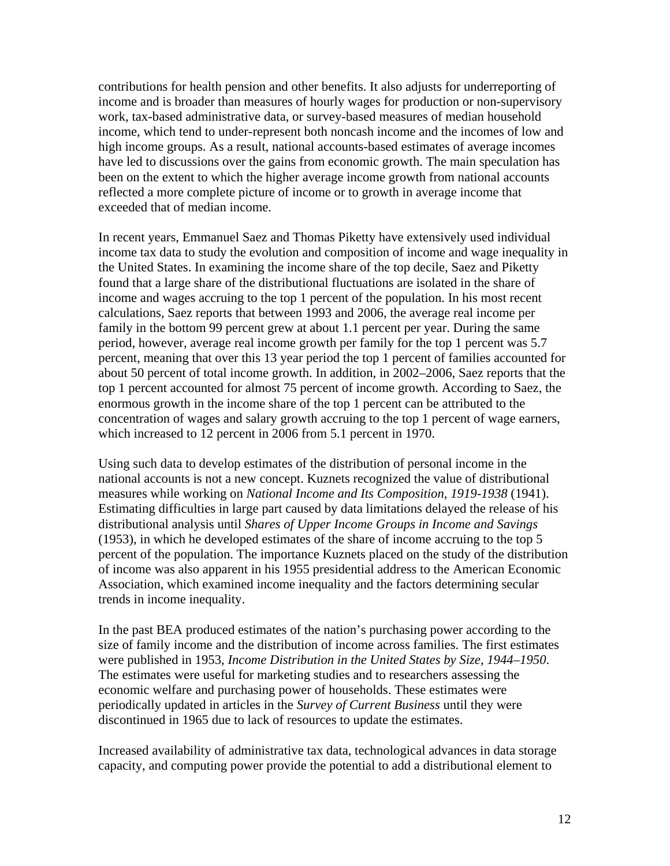contributions for health pension and other benefits. It also adjusts for underreporting of income and is broader than measures of hourly wages for production or non-supervisory work, tax-based administrative data, or survey-based measures of median household income, which tend to under-represent both noncash income and the incomes of low and high income groups. As a result, national accounts-based estimates of average incomes have led to discussions over the gains from economic growth. The main speculation has been on the extent to which the higher average income growth from national accounts reflected a more complete picture of income or to growth in average income that exceeded that of median income.

In recent years, Emmanuel Saez and Thomas Piketty have extensively used individual income tax data to study the evolution and composition of income and wage inequality in the United States. In examining the income share of the top decile, Saez and Piketty found that a large share of the distributional fluctuations are isolated in the share of income and wages accruing to the top 1 percent of the population. In his most recent calculations, Saez reports that between 1993 and 2006, the average real income per family in the bottom 99 percent grew at about 1.1 percent per year. During the same period, however, average real income growth per family for the top 1 percent was 5.7 percent, meaning that over this 13 year period the top 1 percent of families accounted for about 50 percent of total income growth. In addition, in 2002–2006, Saez reports that the top 1 percent accounted for almost 75 percent of income growth. According to Saez, the enormous growth in the income share of the top 1 percent can be attributed to the concentration of wages and salary growth accruing to the top 1 percent of wage earners, which increased to 12 percent in 2006 from 5.1 percent in 1970.

Using such data to develop estimates of the distribution of personal income in the national accounts is not a new concept. Kuznets recognized the value of distributional measures while working on *National Income and Its Composition, 1919-1938* (1941). Estimating difficulties in large part caused by data limitations delayed the release of his distributional analysis until *Shares of Upper Income Groups in Income and Savings* (1953), in which he developed estimates of the share of income accruing to the top 5 percent of the population. The importance Kuznets placed on the study of the distribution of income was also apparent in his 1955 presidential address to the American Economic Association, which examined income inequality and the factors determining secular trends in income inequality.

In the past BEA produced estimates of the nation's purchasing power according to the size of family income and the distribution of income across families. The first estimates were published in 1953, *Income Distribution in the United States by Size, 1944–1950*. The estimates were useful for marketing studies and to researchers assessing the economic welfare and purchasing power of households. These estimates were periodically updated in articles in the *Survey of Current Business* until they were discontinued in 1965 due to lack of resources to update the estimates.

Increased availability of administrative tax data, technological advances in data storage capacity, and computing power provide the potential to add a distributional element to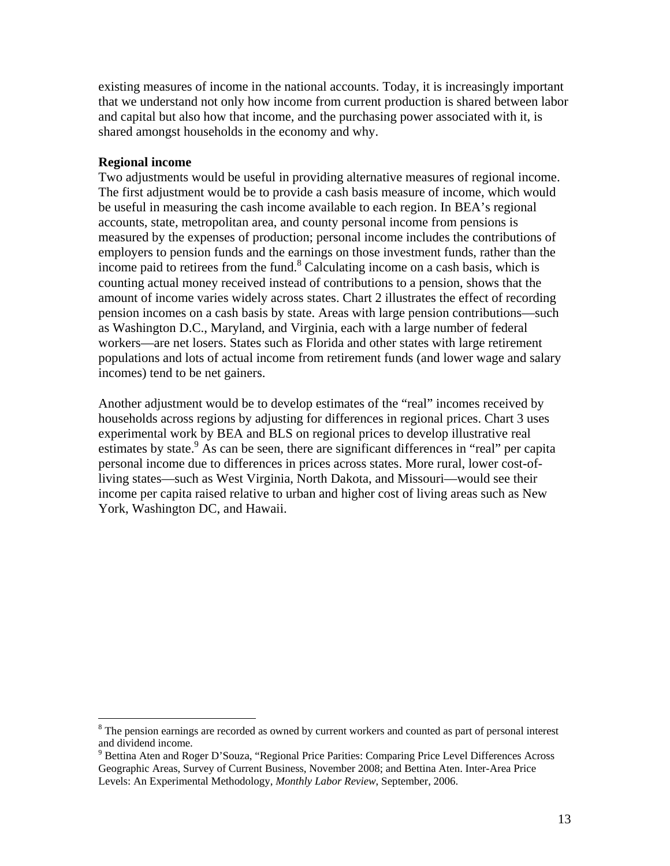existing measures of income in the national accounts. Today, it is increasingly important that we understand not only how income from current production is shared between labor and capital but also how that income, and the purchasing power associated with it, is shared amongst households in the economy and why.

#### **Regional income**

 $\overline{a}$ 

Two adjustments would be useful in providing alternative measures of regional income. The first adjustment would be to provide a cash basis measure of income, which would be useful in measuring the cash income available to each region. In BEA's regional accounts, state, metropolitan area, and county personal income from pensions is measured by the expenses of production; personal income includes the contributions of employers to pension funds and the earnings on those investment funds, rather than the income paid to retirees from the fund.<sup>8</sup> Calculating income on a cash basis, which is counting actual money received instead of contributions to a pension, shows that the amount of income varies widely across states. Chart 2 illustrates the effect of recording pension incomes on a cash basis by state. Areas with large pension contributions—such as Washington D.C., Maryland, and Virginia, each with a large number of federal workers—are net losers. States such as Florida and other states with large retirement populations and lots of actual income from retirement funds (and lower wage and salary incomes) tend to be net gainers.

Another adjustment would be to develop estimates of the "real" incomes received by households across regions by adjusting for differences in regional prices. Chart 3 uses experimental work by BEA and BLS on regional prices to develop illustrative real estimates by state.<sup>9</sup> As can be seen, there are significant differences in "real" per capita personal income due to differences in prices across states. More rural, lower cost-ofliving states—such as West Virginia, North Dakota, and Missouri—would see their income per capita raised relative to urban and higher cost of living areas such as New York, Washington DC, and Hawaii.

<sup>&</sup>lt;sup>8</sup> The pension earnings are recorded as owned by current workers and counted as part of personal interest and dividend income.

<sup>&</sup>lt;sup>9</sup> Bettina Aten and Roger D'Souza, "Regional Price Parities: Comparing Price Level Differences Across Geographic Areas, Survey of Current Business, November 2008; and Bettina Aten. Inter-Area Price Levels: An Experimental Methodology, *Monthly Labor Review*, September, 2006.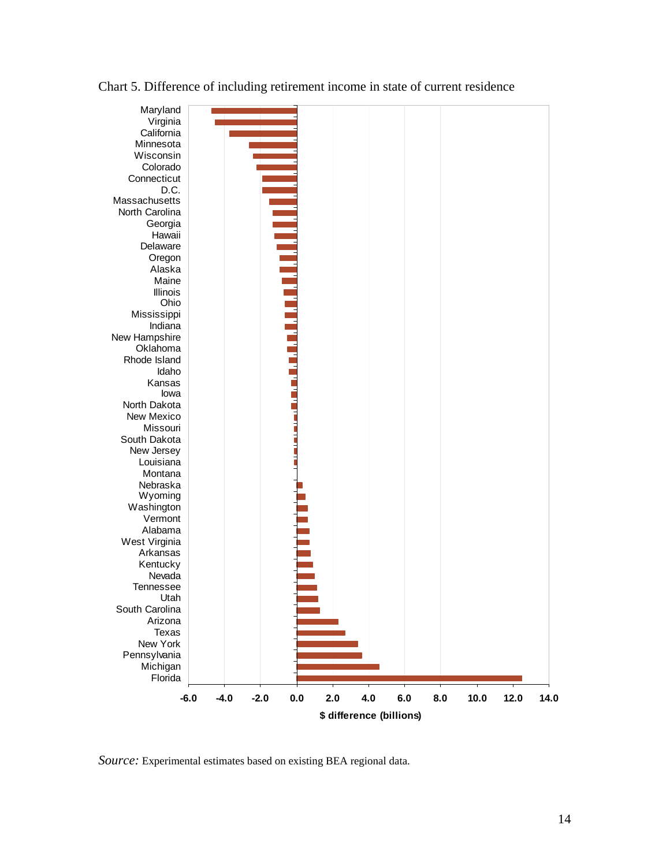

#### Chart 5. Difference of including retirement income in state of current residence

*Source:* Experimental estimates based on existing BEA regional data.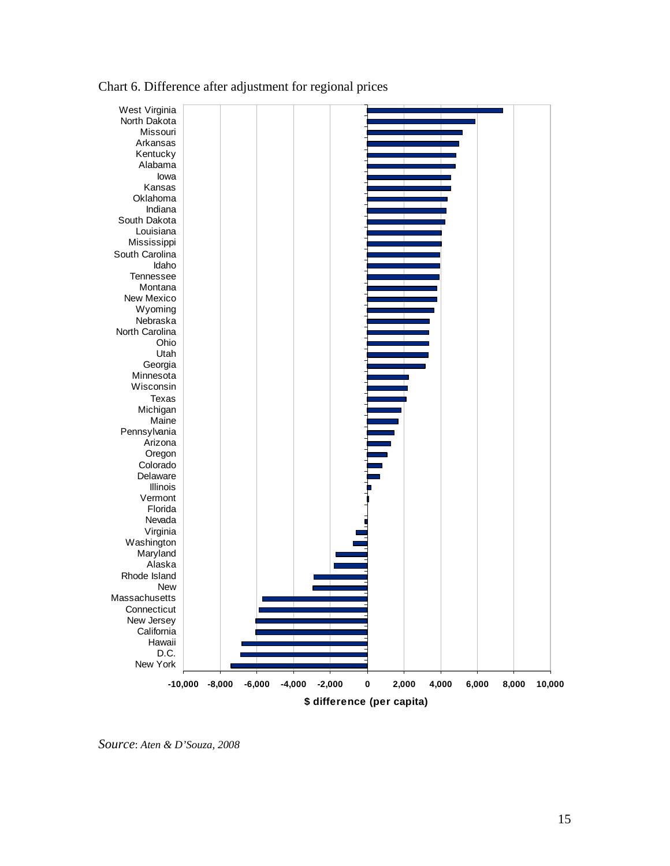

### Chart 6. Difference after adjustment for regional prices

*Source*: *Aten & D'Souza, 2008*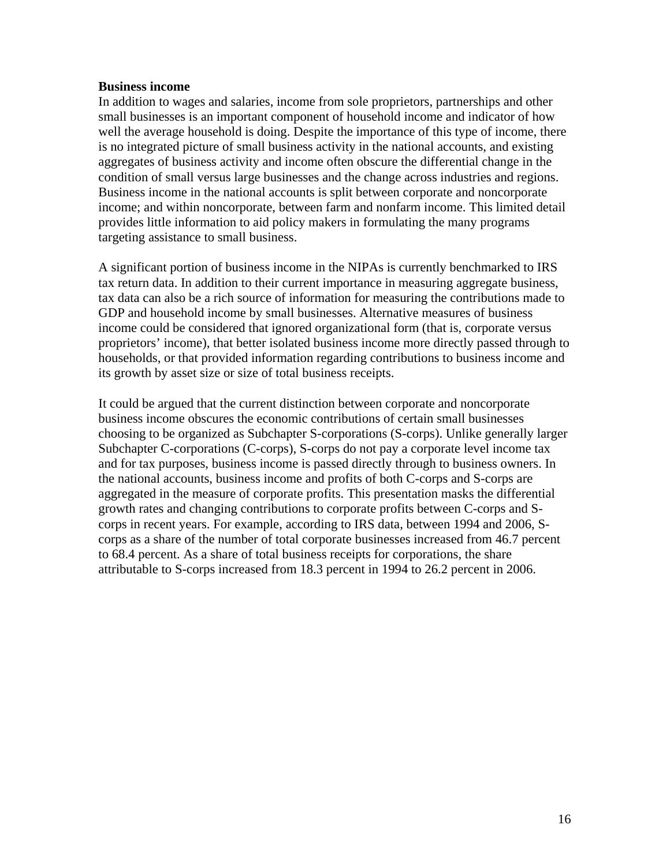#### **Business income**

In addition to wages and salaries, income from sole proprietors, partnerships and other small businesses is an important component of household income and indicator of how well the average household is doing. Despite the importance of this type of income, there is no integrated picture of small business activity in the national accounts, and existing aggregates of business activity and income often obscure the differential change in the condition of small versus large businesses and the change across industries and regions. Business income in the national accounts is split between corporate and noncorporate income; and within noncorporate, between farm and nonfarm income. This limited detail provides little information to aid policy makers in formulating the many programs targeting assistance to small business.

A significant portion of business income in the NIPAs is currently benchmarked to IRS tax return data. In addition to their current importance in measuring aggregate business, tax data can also be a rich source of information for measuring the contributions made to GDP and household income by small businesses. Alternative measures of business income could be considered that ignored organizational form (that is, corporate versus proprietors' income), that better isolated business income more directly passed through to households, or that provided information regarding contributions to business income and its growth by asset size or size of total business receipts.

It could be argued that the current distinction between corporate and noncorporate business income obscures the economic contributions of certain small businesses choosing to be organized as Subchapter S-corporations (S-corps). Unlike generally larger Subchapter C-corporations (C-corps), S-corps do not pay a corporate level income tax and for tax purposes, business income is passed directly through to business owners. In the national accounts, business income and profits of both C-corps and S-corps are aggregated in the measure of corporate profits. This presentation masks the differential growth rates and changing contributions to corporate profits between C-corps and Scorps in recent years. For example, according to IRS data, between 1994 and 2006, Scorps as a share of the number of total corporate businesses increased from 46.7 percent to 68.4 percent. As a share of total business receipts for corporations, the share attributable to S-corps increased from 18.3 percent in 1994 to 26.2 percent in 2006.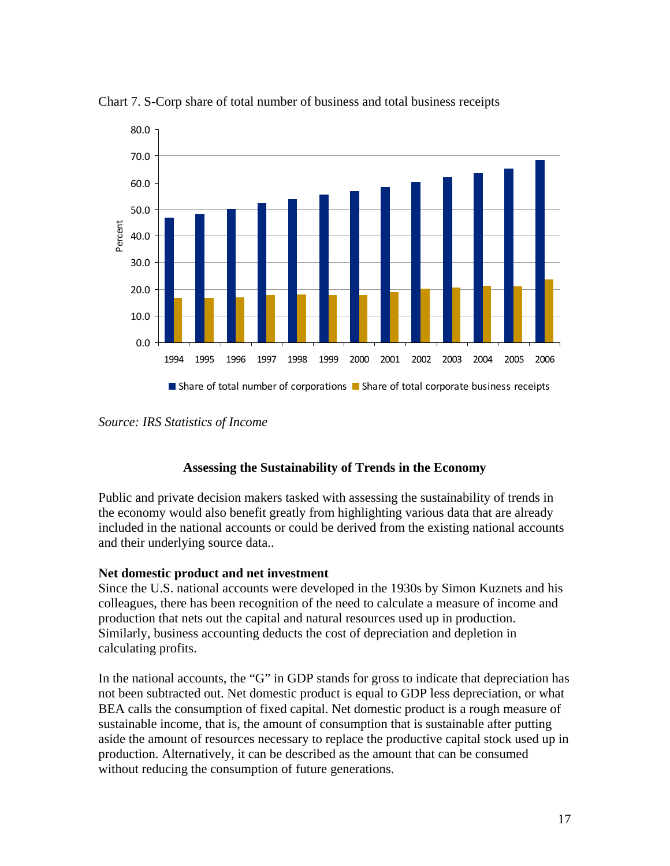

Chart 7. S-Corp share of total number of business and total business receipts

*Source: IRS Statistics of Income* 

### **Assessing the Sustainability of Trends in the Economy**

Public and private decision makers tasked with assessing the sustainability of trends in the economy would also benefit greatly from highlighting various data that are already included in the national accounts or could be derived from the existing national accounts and their underlying source data..

### **Net domestic product and net investment**

Since the U.S. national accounts were developed in the 1930s by Simon Kuznets and his colleagues, there has been recognition of the need to calculate a measure of income and production that nets out the capital and natural resources used up in production. Similarly, business accounting deducts the cost of depreciation and depletion in calculating profits.

In the national accounts, the "G" in GDP stands for gross to indicate that depreciation has not been subtracted out. Net domestic product is equal to GDP less depreciation, or what BEA calls the consumption of fixed capital. Net domestic product is a rough measure of sustainable income, that is, the amount of consumption that is sustainable after putting aside the amount of resources necessary to replace the productive capital stock used up in production. Alternatively, it can be described as the amount that can be consumed without reducing the consumption of future generations.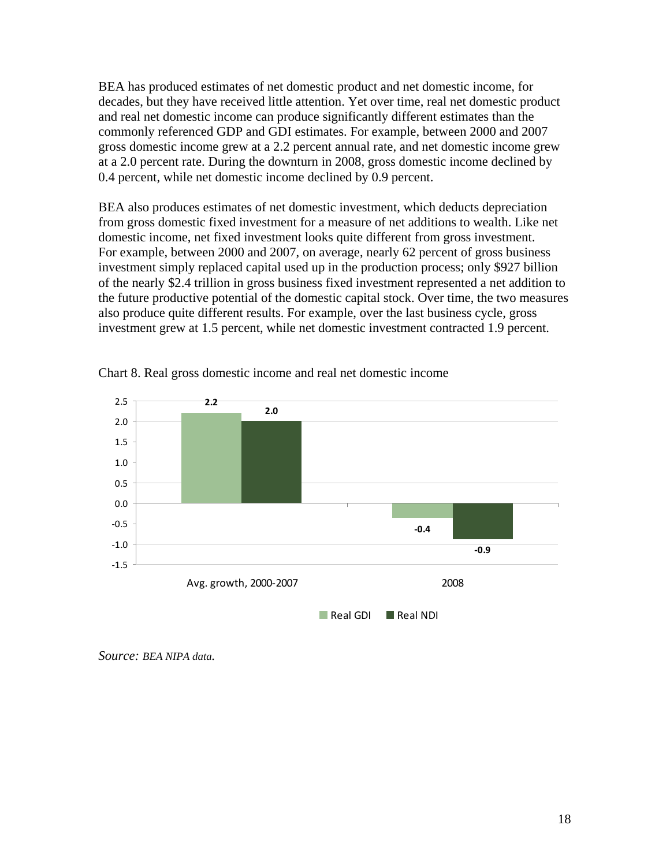BEA has produced estimates of net domestic product and net domestic income, for decades, but they have received little attention. Yet over time, real net domestic product and real net domestic income can produce significantly different estimates than the commonly referenced GDP and GDI estimates. For example, between 2000 and 2007 gross domestic income grew at a 2.2 percent annual rate, and net domestic income grew at a 2.0 percent rate. During the downturn in 2008, gross domestic income declined by 0.4 percent, while net domestic income declined by 0.9 percent.

BEA also produces estimates of net domestic investment, which deducts depreciation from gross domestic fixed investment for a measure of net additions to wealth. Like net domestic income, net fixed investment looks quite different from gross investment. For example, between 2000 and 2007, on average, nearly 62 percent of gross business investment simply replaced capital used up in the production process; only \$927 billion of the nearly \$2.4 trillion in gross business fixed investment represented a net addition to the future productive potential of the domestic capital stock. Over time, the two measures also produce quite different results. For example, over the last business cycle, gross investment grew at 1.5 percent, while net domestic investment contracted 1.9 percent.



Chart 8. Real gross domestic income and real net domestic income

*Source: BEA NIPA data.*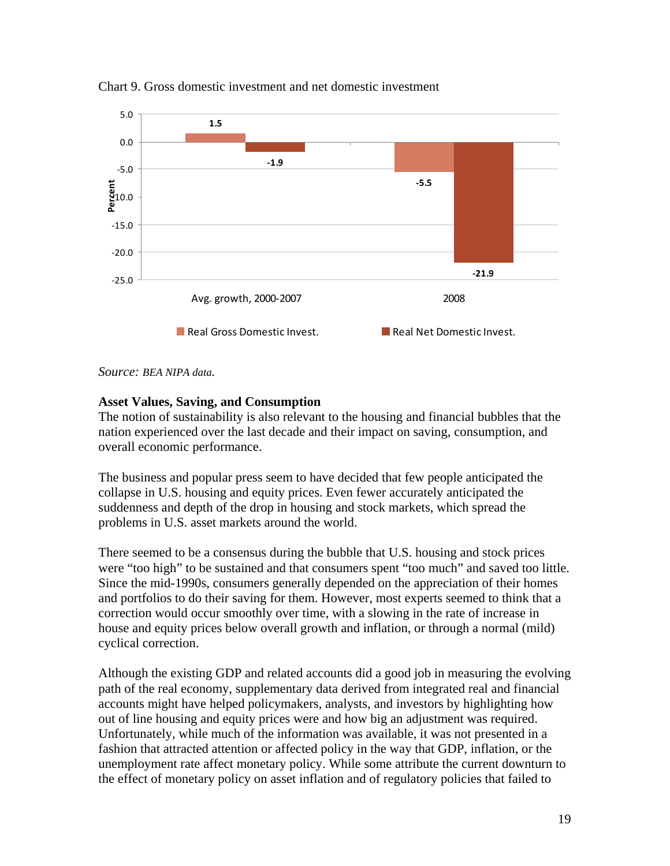

Chart 9. Gross domestic investment and net domestic investment

*Source: BEA NIPA data.* 

#### **Asset Values, Saving, and Consumption**

The notion of sustainability is also relevant to the housing and financial bubbles that the nation experienced over the last decade and their impact on saving, consumption, and overall economic performance.

The business and popular press seem to have decided that few people anticipated the collapse in U.S. housing and equity prices. Even fewer accurately anticipated the suddenness and depth of the drop in housing and stock markets, which spread the problems in U.S. asset markets around the world.

There seemed to be a consensus during the bubble that U.S. housing and stock prices were "too high" to be sustained and that consumers spent "too much" and saved too little. Since the mid-1990s, consumers generally depended on the appreciation of their homes and portfolios to do their saving for them. However, most experts seemed to think that a correction would occur smoothly over time, with a slowing in the rate of increase in house and equity prices below overall growth and inflation, or through a normal (mild) cyclical correction.

Although the existing GDP and related accounts did a good job in measuring the evolving path of the real economy, supplementary data derived from integrated real and financial accounts might have helped policymakers, analysts, and investors by highlighting how out of line housing and equity prices were and how big an adjustment was required. Unfortunately, while much of the information was available, it was not presented in a fashion that attracted attention or affected policy in the way that GDP, inflation, or the unemployment rate affect monetary policy. While some attribute the current downturn to the effect of monetary policy on asset inflation and of regulatory policies that failed to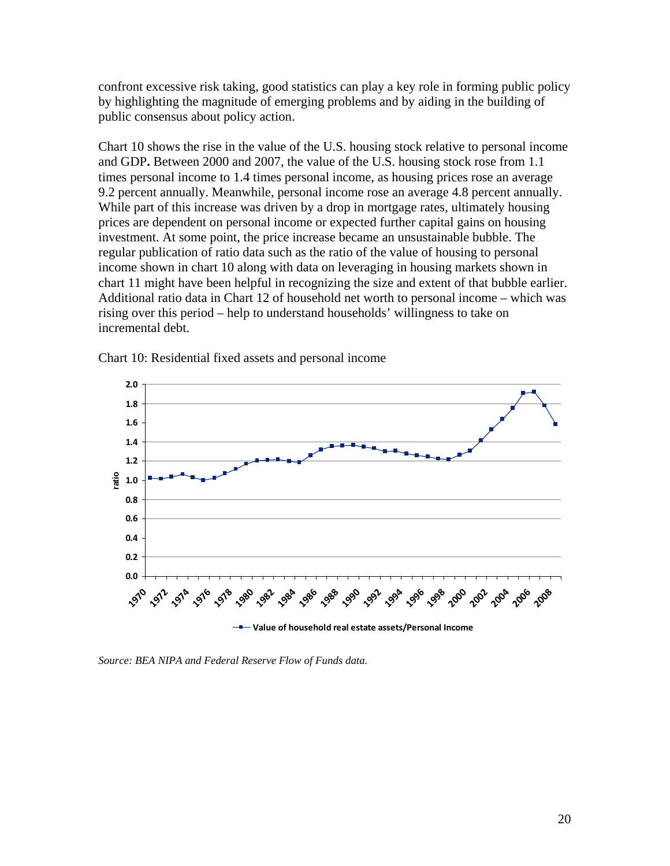confront excessive risk taking, good statistics can play a key role in forming public policy by highlighting the magnitude of emerging problems and by aiding in the building of public consensus about policy action.

Chart 10 shows the rise in the value of the U.S. housing stock relative to personal income and GDP**.** Between 2000 and 2007, the value of the U.S. housing stock rose from 1.1 times personal income to 1.4 times personal income, as housing prices rose an average 9.2 percent annually. Meanwhile, personal income rose an average 4.8 percent annually. While part of this increase was driven by a drop in mortgage rates, ultimately housing prices are dependent on personal income or expected further capital gains on housing investment. At some point, the price increase became an unsustainable bubble. The regular publication of ratio data such as the ratio of the value of housing to personal income shown in chart 10 along with data on leveraging in housing markets shown in chart 11 might have been helpful in recognizing the size and extent of that bubble earlier. Additional ratio data in Chart 12 of household net worth to personal income – which was rising over this period – help to understand households' willingness to take on incremental debt.



Chart 10: Residential fixed assets and personal income

*Source: BEA NIPA and Federal Reserve Flow of Funds data.*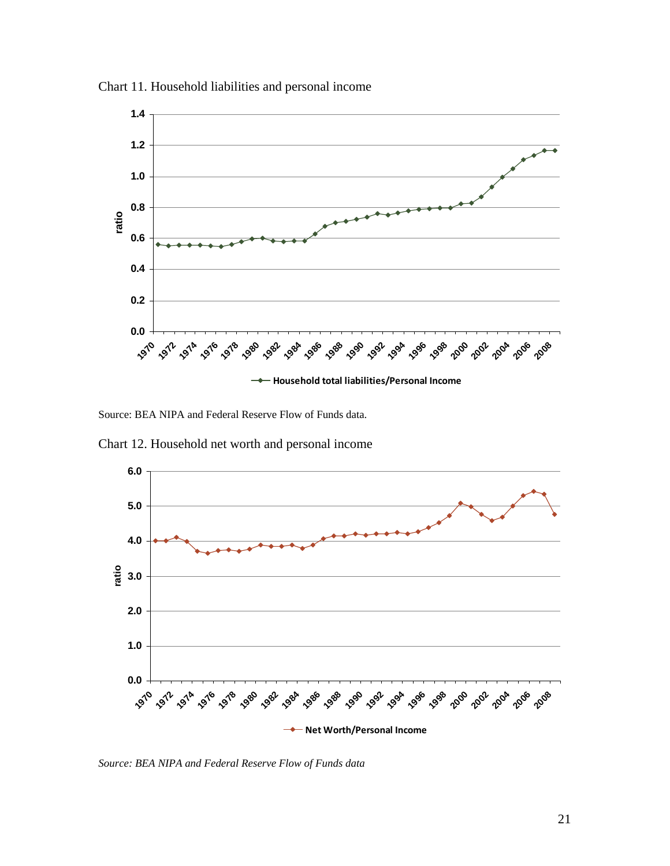

Chart 11. Household liabilities and personal income

Source: BEA NIPA and Federal Reserve Flow of Funds data.

Chart 12. Household net worth and personal income



*Source: BEA NIPA and Federal Reserve Flow of Funds data*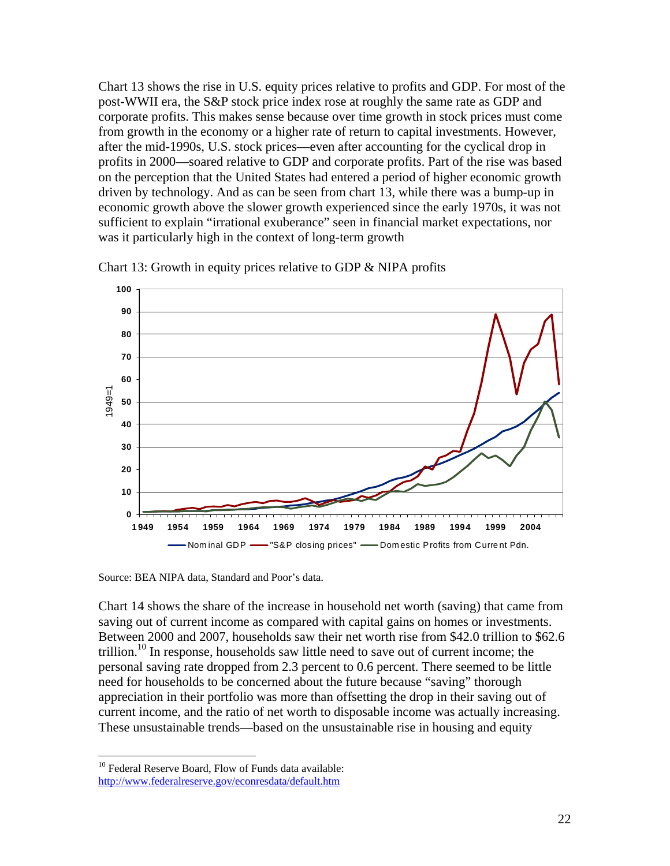Chart 13 shows the rise in U.S. equity prices relative to profits and GDP. For most of the post-WWII era, the S&P stock price index rose at roughly the same rate as GDP and corporate profits. This makes sense because over time growth in stock prices must come from growth in the economy or a higher rate of return to capital investments. However, after the mid-1990s, U.S. stock prices—even after accounting for the cyclical drop in profits in 2000—soared relative to GDP and corporate profits. Part of the rise was based on the perception that the United States had entered a period of higher economic growth driven by technology. And as can be seen from chart 13, while there was a bump-up in economic growth above the slower growth experienced since the early 1970s, it was not sufficient to explain "irrational exuberance" seen in financial market expectations, nor was it particularly high in the context of long-term growth



Chart 13: Growth in equity prices relative to GDP & NIPA profits

Source: BEA NIPA data, Standard and Poor's data.

Chart 14 shows the share of the increase in household net worth (saving) that came from saving out of current income as compared with capital gains on homes or investments. Between 2000 and 2007, households saw their net worth rise from \$42.0 trillion to \$62.6 trillion.<sup>10</sup> In response, households saw little need to save out of current income; the personal saving rate dropped from 2.3 percent to 0.6 percent. There seemed to be little need for households to be concerned about the future because "saving" thorough appreciation in their portfolio was more than offsetting the drop in their saving out of current income, and the ratio of net worth to disposable income was actually increasing. These unsustainable trends—based on the unsustainable rise in housing and equity

 $\overline{a}$ 

<sup>&</sup>lt;sup>10</sup> Federal Reserve Board, Flow of Funds data available: http://www.federalreserve.gov/econresdata/default.htm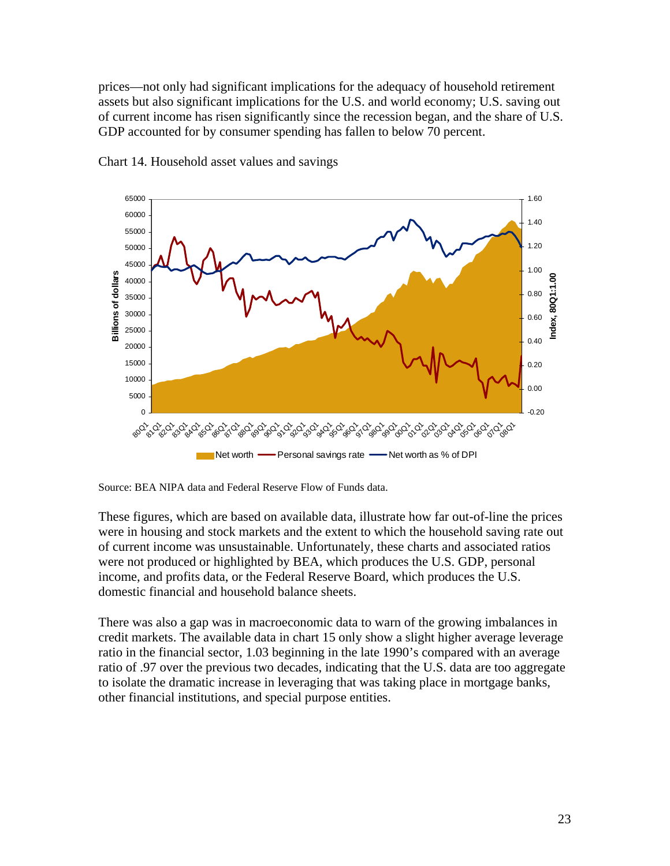prices—not only had significant implications for the adequacy of household retirement assets but also significant implications for the U.S. and world economy; U.S. saving out of current income has risen significantly since the recession began, and the share of U.S. GDP accounted for by consumer spending has fallen to below 70 percent.



Chart 14. Household asset values and savings

These figures, which are based on available data, illustrate how far out-of-line the prices were in housing and stock markets and the extent to which the household saving rate out of current income was unsustainable. Unfortunately, these charts and associated ratios were not produced or highlighted by BEA, which produces the U.S. GDP, personal income, and profits data, or the Federal Reserve Board, which produces the U.S. domestic financial and household balance sheets.

There was also a gap was in macroeconomic data to warn of the growing imbalances in credit markets. The available data in chart 15 only show a slight higher average leverage ratio in the financial sector, 1.03 beginning in the late 1990's compared with an average ratio of .97 over the previous two decades, indicating that the U.S. data are too aggregate to isolate the dramatic increase in leveraging that was taking place in mortgage banks, other financial institutions, and special purpose entities.

Source: BEA NIPA data and Federal Reserve Flow of Funds data.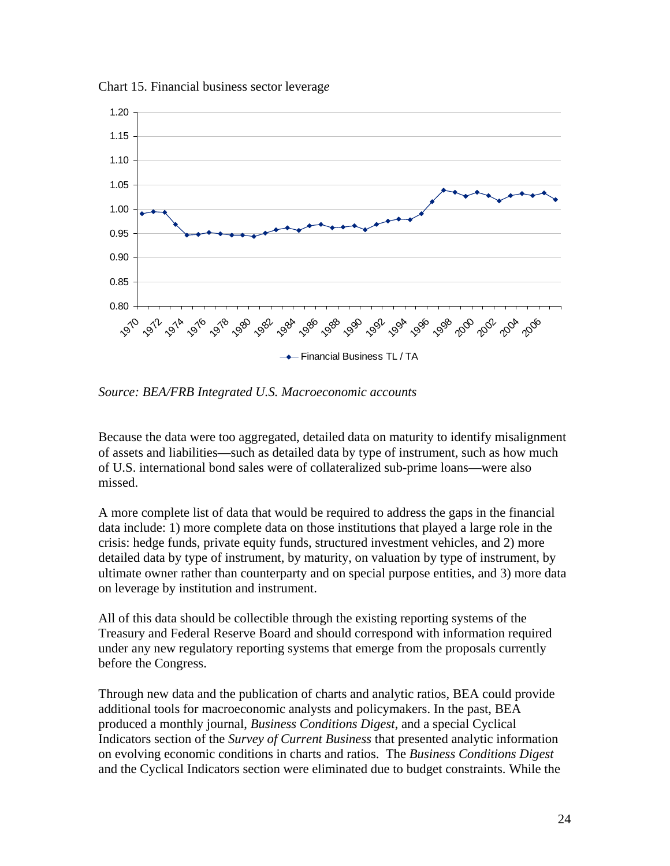Chart 15. Financial business sector leverag*e* 



*Source: BEA/FRB Integrated U.S. Macroeconomic accounts* 

Because the data were too aggregated, detailed data on maturity to identify misalignment of assets and liabilities—such as detailed data by type of instrument, such as how much of U.S. international bond sales were of collateralized sub-prime loans—were also missed.

A more complete list of data that would be required to address the gaps in the financial data include: 1) more complete data on those institutions that played a large role in the crisis: hedge funds, private equity funds, structured investment vehicles, and 2) more detailed data by type of instrument, by maturity, on valuation by type of instrument, by ultimate owner rather than counterparty and on special purpose entities, and 3) more data on leverage by institution and instrument.

All of this data should be collectible through the existing reporting systems of the Treasury and Federal Reserve Board and should correspond with information required under any new regulatory reporting systems that emerge from the proposals currently before the Congress.

Through new data and the publication of charts and analytic ratios, BEA could provide additional tools for macroeconomic analysts and policymakers. In the past, BEA produced a monthly journal, *Business Conditions Digest*, and a special Cyclical Indicators section of the *Survey of Current Business* that presented analytic information on evolving economic conditions in charts and ratios. The *Business Conditions Digest* and the Cyclical Indicators section were eliminated due to budget constraints. While the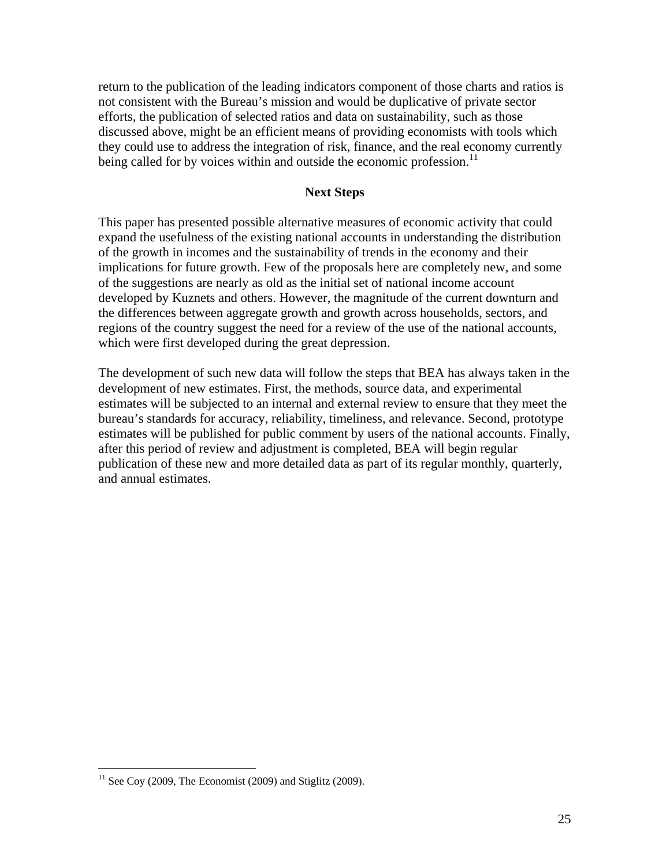return to the publication of the leading indicators component of those charts and ratios is not consistent with the Bureau's mission and would be duplicative of private sector efforts, the publication of selected ratios and data on sustainability, such as those discussed above, might be an efficient means of providing economists with tools which they could use to address the integration of risk, finance, and the real economy currently being called for by voices within and outside the economic profession.<sup>11</sup>

### **Next Steps**

This paper has presented possible alternative measures of economic activity that could expand the usefulness of the existing national accounts in understanding the distribution of the growth in incomes and the sustainability of trends in the economy and their implications for future growth. Few of the proposals here are completely new, and some of the suggestions are nearly as old as the initial set of national income account developed by Kuznets and others. However, the magnitude of the current downturn and the differences between aggregate growth and growth across households, sectors, and regions of the country suggest the need for a review of the use of the national accounts, which were first developed during the great depression.

The development of such new data will follow the steps that BEA has always taken in the development of new estimates. First, the methods, source data, and experimental estimates will be subjected to an internal and external review to ensure that they meet the bureau's standards for accuracy, reliability, timeliness, and relevance. Second, prototype estimates will be published for public comment by users of the national accounts. Finally, after this period of review and adjustment is completed, BEA will begin regular publication of these new and more detailed data as part of its regular monthly, quarterly, and annual estimates.

<u>.</u>

 $11$  See Coy (2009, The Economist (2009) and Stiglitz (2009).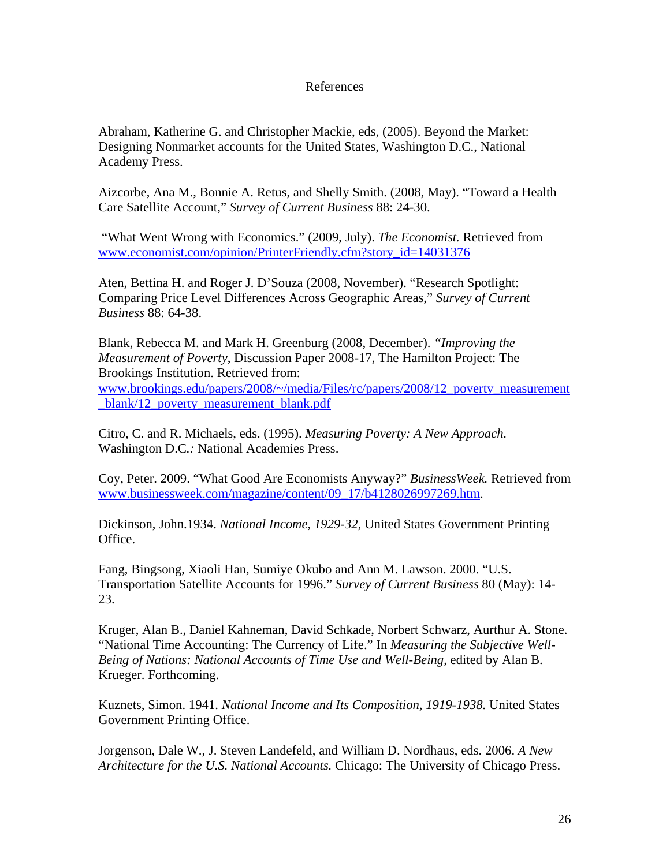#### References

Abraham, Katherine G. and Christopher Mackie, eds, (2005). Beyond the Market: Designing Nonmarket accounts for the United States, Washington D.C., National Academy Press.

Aizcorbe, Ana M., Bonnie A. Retus, and Shelly Smith. (2008, May). "Toward a Health Care Satellite Account," *Survey of Current Business* 88: 24-30.

 "What Went Wrong with Economics." (2009, July). *The Economist.* Retrieved from www.economist.com/opinion/PrinterFriendly.cfm?story\_id=14031376

Aten, Bettina H. and Roger J. D'Souza (2008, November). "Research Spotlight: Comparing Price Level Differences Across Geographic Areas," *Survey of Current Business* 88: 64-38.

Blank, Rebecca M. and Mark H. Greenburg (2008, December). *"Improving the Measurement of Poverty*, Discussion Paper 2008-17, The Hamilton Project: The Brookings Institution. Retrieved from:

www.brookings.edu/papers/2008/~/media/Files/rc/papers/2008/12\_poverty\_measurement blank/12 poverty measurement blank.pdf

Citro, C. and R. Michaels, eds. (1995). *Measuring Poverty: A New Approach.*  Washington D.C*.:* National Academies Press.

Coy, Peter. 2009. "What Good Are Economists Anyway?" *BusinessWeek.* Retrieved from www.businessweek.com/magazine/content/09\_17/b4128026997269.htm.

Dickinson, John.1934. *National Income, 1929-32*, United States Government Printing Office.

Fang, Bingsong, Xiaoli Han, Sumiye Okubo and Ann M. Lawson. 2000. "U.S. Transportation Satellite Accounts for 1996." *Survey of Current Business* 80 (May): 14- 23.

Kruger, Alan B., Daniel Kahneman, David Schkade, Norbert Schwarz, Aurthur A. Stone. "National Time Accounting: The Currency of Life." In *Measuring the Subjective Well-Being of Nations: National Accounts of Time Use and Well-Being*, edited by Alan B. Krueger. Forthcoming.

Kuznets, Simon. 1941. *National Income and Its Composition, 1919-1938.* United States Government Printing Office.

Jorgenson, Dale W., J. Steven Landefeld, and William D. Nordhaus, eds. 2006. *A New Architecture for the U.S. National Accounts.* Chicago: The University of Chicago Press.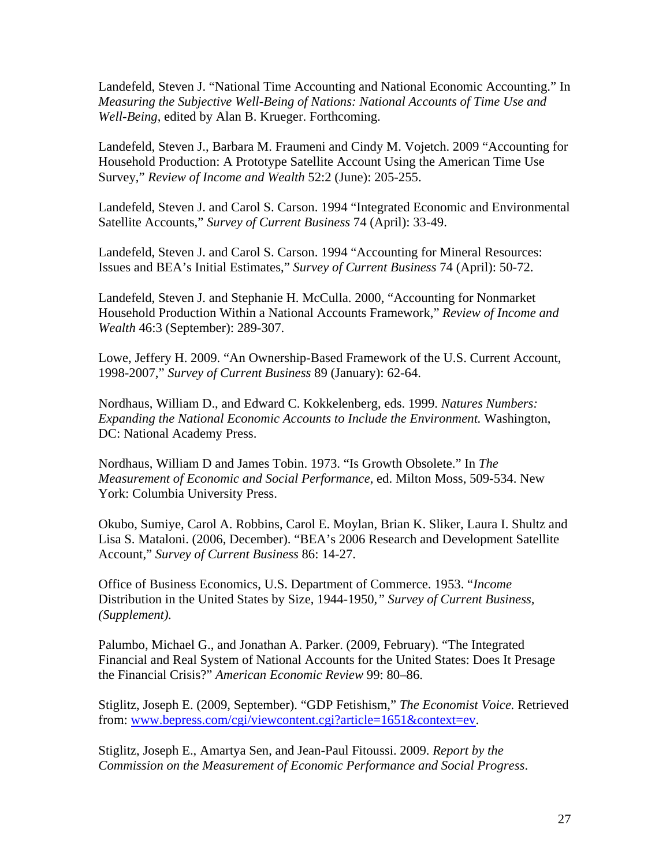Landefeld, Steven J. "National Time Accounting and National Economic Accounting." In *Measuring the Subjective Well-Being of Nations: National Accounts of Time Use and Well-Being*, edited by Alan B. Krueger. Forthcoming.

Landefeld, Steven J., Barbara M. Fraumeni and Cindy M. Vojetch. 2009 "Accounting for Household Production: A Prototype Satellite Account Using the American Time Use Survey," *Review of Income and Wealth* 52:2 (June): 205-255.

Landefeld, Steven J. and Carol S. Carson. 1994 "Integrated Economic and Environmental Satellite Accounts," *Survey of Current Business* 74 (April): 33-49.

Landefeld, Steven J. and Carol S. Carson. 1994 "Accounting for Mineral Resources: Issues and BEA's Initial Estimates," *Survey of Current Business* 74 (April): 50-72.

Landefeld, Steven J. and Stephanie H. McCulla. 2000, "Accounting for Nonmarket Household Production Within a National Accounts Framework," *Review of Income and Wealth* 46:3 (September): 289-307.

Lowe, Jeffery H. 2009. "An Ownership-Based Framework of the U.S. Current Account, 1998-2007," *Survey of Current Business* 89 (January): 62-64.

Nordhaus, William D., and Edward C. Kokkelenberg, eds. 1999. *Natures Numbers: Expanding the National Economic Accounts to Include the Environment.* Washington, DC: National Academy Press.

Nordhaus, William D and James Tobin. 1973. "Is Growth Obsolete." In *The Measurement of Economic and Social Performance*, ed. Milton Moss, 509-534. New York: Columbia University Press.

Okubo, Sumiye, Carol A. Robbins, Carol E. Moylan, Brian K. Sliker, Laura I. Shultz and Lisa S. Mataloni. (2006, December). "BEA's 2006 Research and Development Satellite Account," *Survey of Current Business* 86: 14-27.

Office of Business Economics, U.S. Department of Commerce. 1953. "*Income*  Distribution in the United States by Size, 1944-1950*," Survey of Current Business, (Supplement).* 

Palumbo, Michael G., and Jonathan A. Parker. (2009, February). "The Integrated Financial and Real System of National Accounts for the United States: Does It Presage the Financial Crisis?" *American Economic Review* 99: 80–86.

Stiglitz, Joseph E. (2009, September). "GDP Fetishism," *The Economist Voice.* Retrieved from: www.bepress.com/cgi/viewcontent.cgi?article=1651&context=ev.

Stiglitz, Joseph E., Amartya Sen, and Jean-Paul Fitoussi. 2009. *Report by the Commission on the Measurement of Economic Performance and Social Progress*.